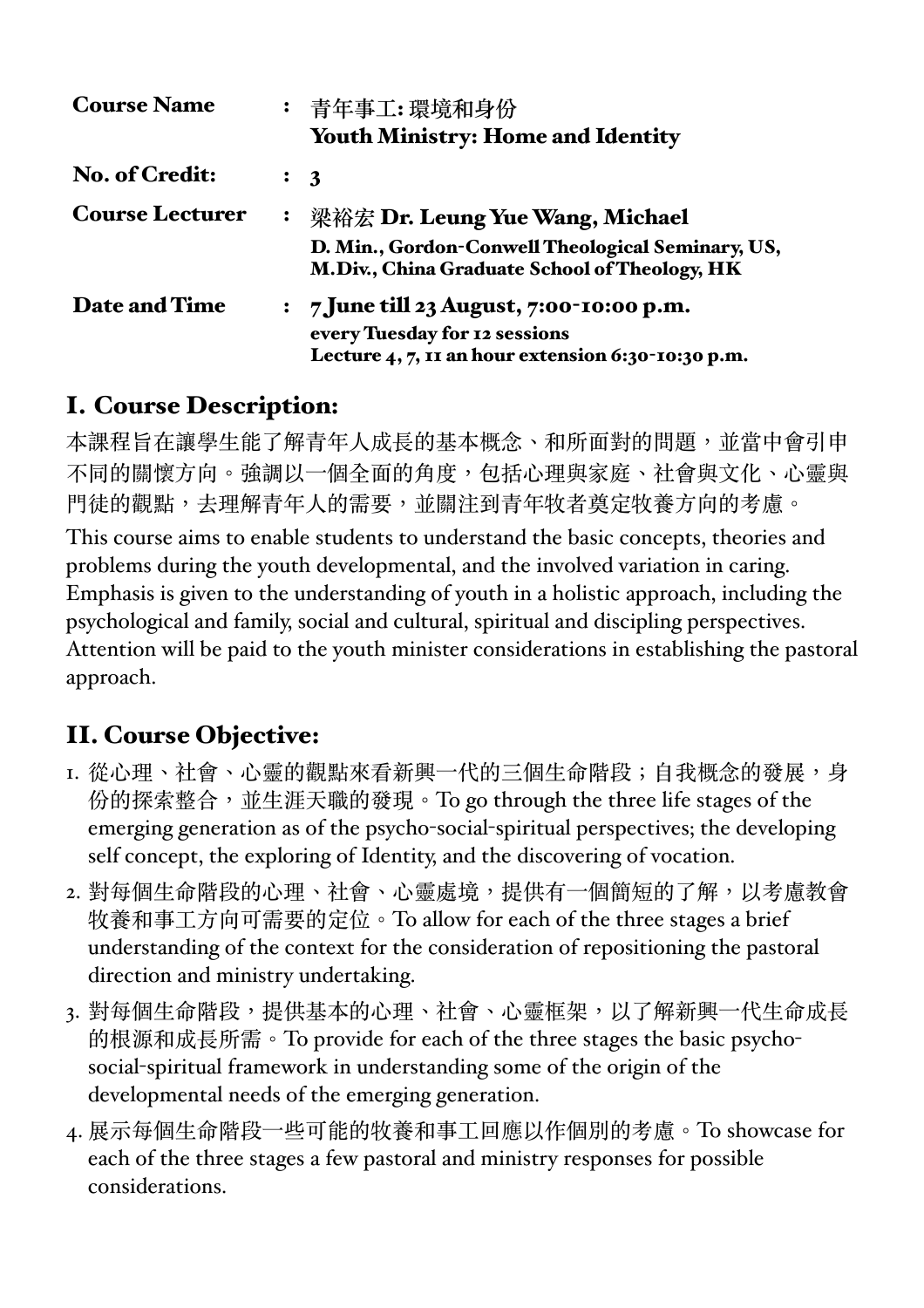| <b>Course Name</b>     |                  | : 青年事工:環境和身份<br><b>Youth Ministry: Home and Identity</b>                                           |
|------------------------|------------------|----------------------------------------------------------------------------------------------------|
| <b>No. of Credit:</b>  |                  | $\colon$ 3                                                                                         |
| <b>Course Lecturer</b> | $\ddot{\bullet}$ | 梁裕宏 Dr. Leung Yue Wang, Michael                                                                    |
|                        |                  | D. Min., Gordon-Conwell Theological Seminary, US,<br>M.Div., China Graduate School of Theology, HK |
| <b>Date and Time</b>   |                  | : $7 \text{ June till } 23 \text{ August}, 7:00-10:00 \text{ p.m.}$                                |
|                        |                  | every Tuesday for 12 sessions                                                                      |
|                        |                  | Lecture $4, 7$ , $11$ an hour extension 6:30-10:30 p.m.                                            |

# I. Course Description:

本課程旨在讓學生能了解青年人成長的基本概念、和所面對的問題,並當中會引申 不同的關懷方向。強調以一個全面的角度,包括心理與家庭、社會與文化、心靈與 門徒的觀點,去理解青年人的需要,並關注到青年牧者奠定牧養方向的考慮。 This course aims to enable students to understand the basic concepts, theories and problems during the youth developmental, and the involved variation in caring. Emphasis is given to the understanding of youth in a holistic approach, including the psychological and family, social and cultural, spiritual and discipling perspectives. Attention will be paid to the youth minister considerations in establishing the pastoral approach.

# II. Course Objective:

- I. 從心理、社會、心靈的觀點來看新興一代的三個生命階段;自我概念的發展,身 份的探索整合, 並生涯天職的發現。To go through the three life stages of the emerging generation as of the psycho-social-spiritual perspectives; the developing self concept, the exploring of Identity, and the discovering of vocation.
- 2. 對每個牛命階段的心理、社會、心靈處境,提供有一個簡短的了解,以考慮教會 牧養和事⼯⽅向可需要的定位。To allow for each of the three stages a brief understanding of the context for the consideration of repositioning the pastoral direction and ministry undertaking.
- 3. 對每個生命階段,提供基本的心理、社會、心靈框架,以了解新興一代生命成長 的根源和成長所需。To provide for each of the three stages the basic psychosocial-spiritual framework in understanding some of the origin of the developmental needs of the emerging generation.
- 4. 展示每個生命階段一些可能的牧養和事工回應以作個別的考慮。To showcase for each of the three stages a few pastoral and ministry responses for possible considerations.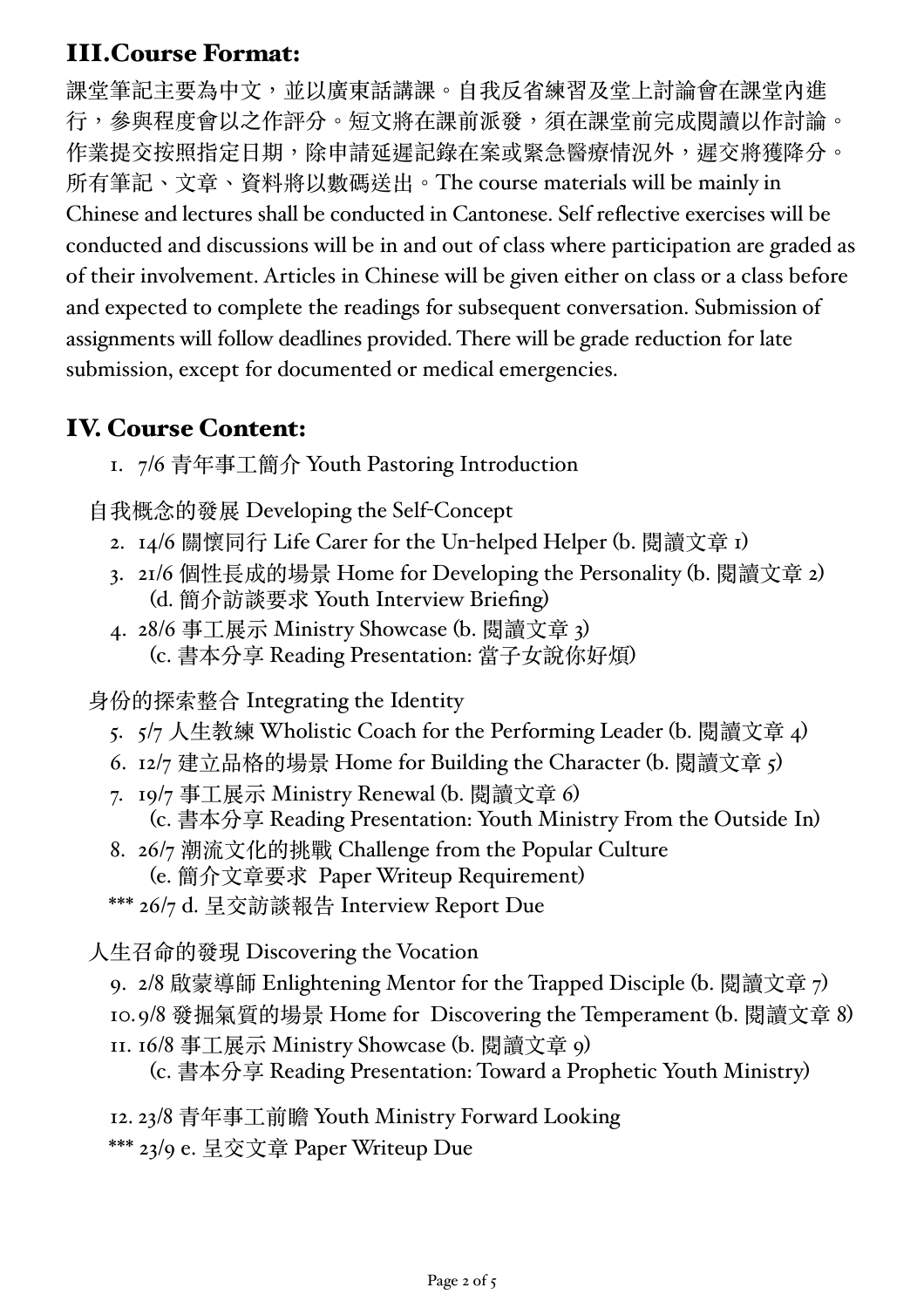## III.Course Format:

課堂筆記主要為中文,並以廣東話講課。自我反省練習及堂上討論會在課堂內進 行,參與程度會以之作評分。短文將在課前派發,須在課堂前完成閱讀以作討論。 作業提交按照指定日期,除申請延遲記錄在案或緊急醫療情況外,遲交將獲降分。 所有筆記、⽂章、資料將以數碼送出。The course materials will be mainly in Chinese and lectures shall be conducted in Cantonese. Self reflective exercises will be conducted and discussions will be in and out of class where participation are graded as of their involvement. Articles in Chinese will be given either on class or a class before and expected to complete the readings for subsequent conversation. Submission of assignments will follow deadlines provided. There will be grade reduction for late submission, except for documented or medical emergencies.

#### IV. Course Content:

1. 7/6 青年事⼯簡介 Youth Pastoring Introduction

⾃我概念的發展 Developing the Self-Concept

- 2. 14/6 關懷同行 Life Carer for the Un-helped Helper (b. 閱讀文章 1)
- 3. 2I/6 個性長成的場景 Home for Developing the Personality (b. 閱讀文章 2) (d. 簡介訪談要求 Youth Interview Briefing)
- 4. 28/6 事工展示 Ministry Showcase (b. 閱讀文章 3) (c. 書本分享 Reading Presentation: 當⼦女說你好煩)

身份的探索整合 Integrating the Identity

- 5.  $5/7$  人生教練 Wholistic Coach for the Performing Leader (b. 閱讀文章 4)
- 6.  $\frac{12}{7}$  建立品格的場景 Home for Building the Character (b. 閱讀文章 5)
- 7. 19/7 事⼯展⽰ Ministry Renewal (b. 閱讀⽂章 6) (c. 書本分享 Reading Presentation: Youth Ministry From the Outside In)
- 8. 26/7 潮流⽂化的挑戰 Challenge from the Popular Culture (e. 簡介⽂章要求 Paper Writeup Requirement)
- \*\*\* 26/7 d. 呈交訪談報告 Interview Report Due

⼈⽣召命的發現 Discovering the Vocation

- 9. 2/8 啟蒙導師 Enlightening Mentor for the Trapped Disciple (b. 閱讀文章 7)
- 10.9/8 發掘氣質的場景 Home for Discovering the Temperament (b. 閱讀文章 8)
- 11. 16/8 事⼯展⽰ Ministry Showcase (b. 閱讀⽂章 9)

(c. 書本分享 Reading Presentation: Toward a Prophetic Youth Ministry)

- 12. 23/8 青年事⼯前瞻 Youth Ministry Forward Looking
- \*\*\* 23/9 e. 呈交⽂章 Paper Writeup Due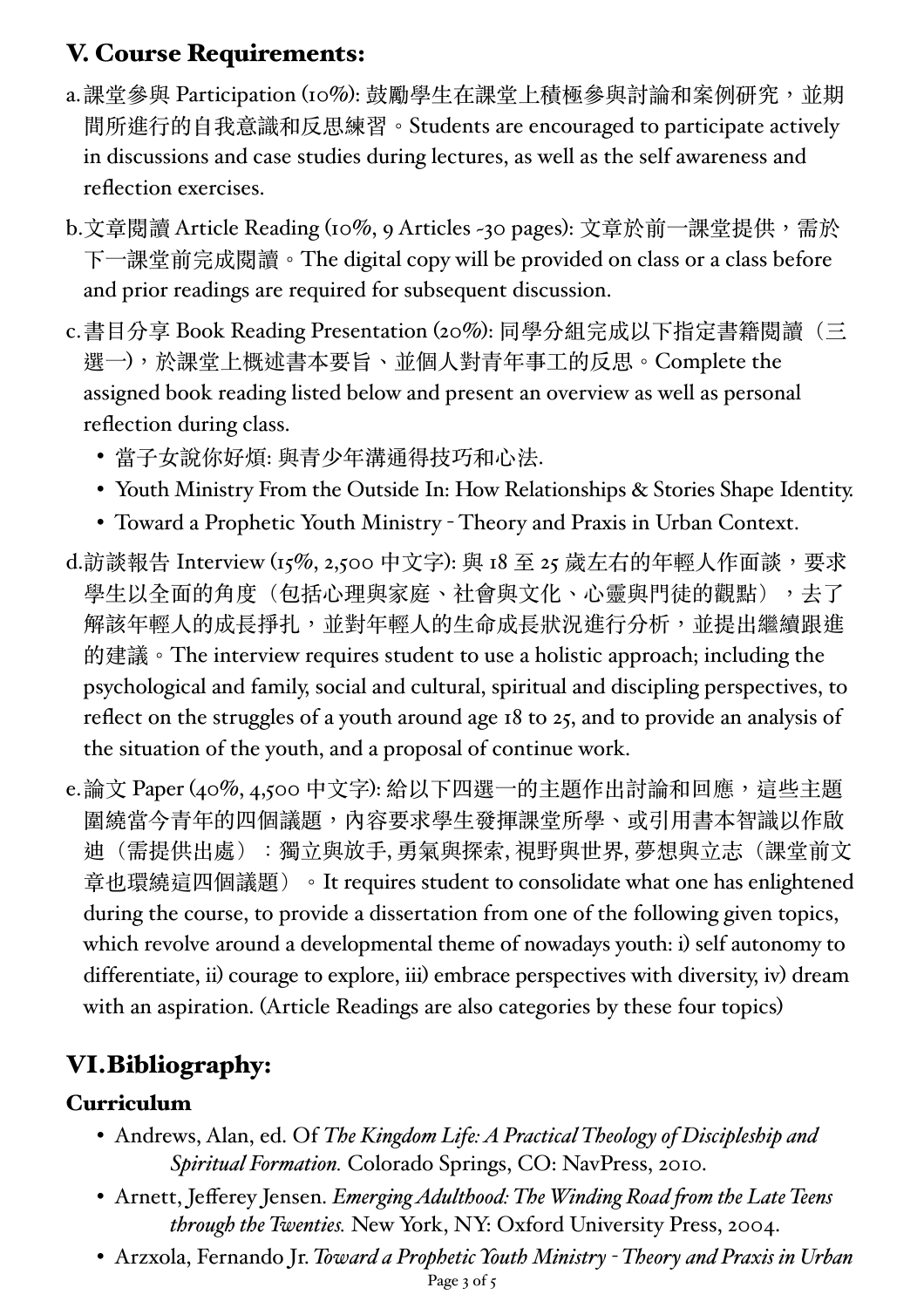# V. Course Requirements:

- a.課堂參與 Participation (10%): 鼓勵學生在課堂上積極參與討論和案例研究, 並期 間所進⾏的⾃我意識和反思練習。Students are encouraged to participate actively in discussions and case studies during lectures, as well as the self awareness and reflection exercises.
- b.文章閱讀 Article Reading (10%, 9 Articles ~30 pages): 文章於前一課堂提供,需於 下一課堂前完成閱讀。The digital copy will be provided on class or a class before and prior readings are required for subsequent discussion.
- c.書⽬分享 Book Reading Presentation (20%): 同學分組完成以下指定書籍閱讀(三 選⼀),於課堂上概述書本要旨、並個⼈對青年事⼯的反思。Complete the assigned book reading listed below and present an overview as well as personal reflection during class.
	- 當子女說你好煩: 與青少年溝通得技巧和心法.
	- Youth Ministry From the Outside In: How Relationships & Stories Shape Identity.
	- Toward a Prophetic Youth Ministry Theory and Praxis in Urban Context.
- d.訪談報告 Interview (15%, 2,500 中⽂字): 與 18 至 25 歲左右的年輕⼈作⾯談,要求 學生以全面的角度(包括心理與家庭、社會與文化、心靈與門徒的觀點),去了 解該年輕人的成長掙扎,並對年輕人的生命成長狀況進行分析,並提出繼續跟進 的建議。The interview requires student to use a holistic approach; including the psychological and family, social and cultural, spiritual and discipling perspectives, to reflect on the struggles of a youth around age 18 to 25, and to provide an analysis of the situation of the youth, and a proposal of continue work.
- e.論文 Paper (40%, 4,500 中文字): 給以下四選一的主題作出討論和回應,這些主題 圍繞當今青年的四個議題,內容要求學生發揮課堂所學、或引用書本智識以作啟 迪(需提供出處):獨立與放手, 勇氣與探索, 視野與世界, 夢想與立志(課堂前文 章也環繞這四個議題)。It requires student to consolidate what one has enlightened during the course, to provide a dissertation from one of the following given topics, which revolve around a developmental theme of nowadays youth: i) self autonomy to differentiate, ii) courage to explore, iii) embrace perspectives with diversity, iv) dream with an aspiration. (Article Readings are also categories by these four topics)

# VI.Bibliography:

### Curriculum

- Andrews, Alan, ed. Of *The Kingdom Life: A Practical Theology of Discipleship and Spiritual Formation.* Colorado Springs, CO: NavPress, 2010.
- Arnett, Jefferey Jensen. *Emerging Adulthood: The Winding Road from the Late Teens through the Twenties.* New York, NY: Oxford University Press, 2004.
- Arzxola, Fernando Jr. *Toward a Prophetic Youth Ministry - Theory and Praxis in Urban*  Page 3 of 5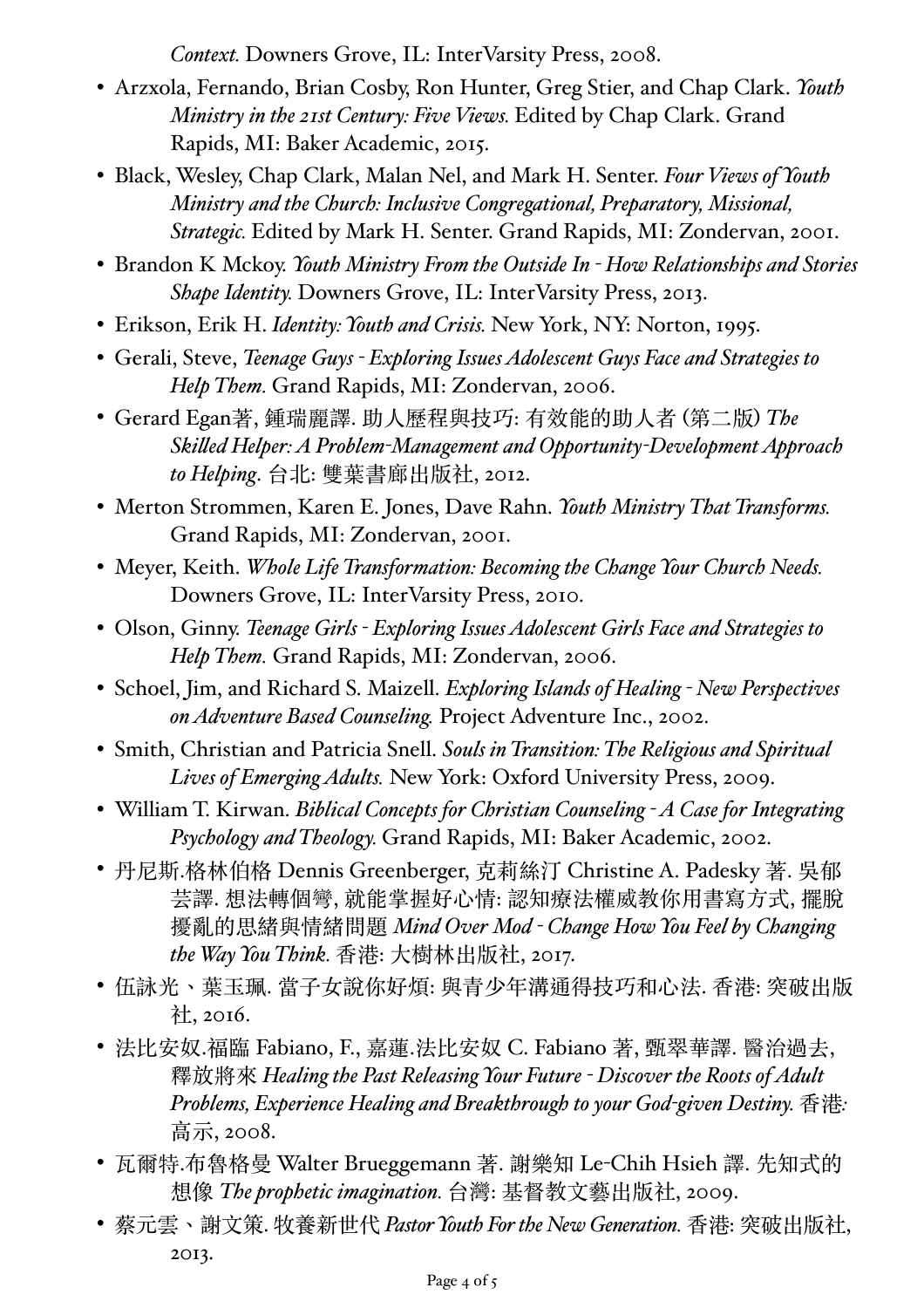*Context.* Downers Grove, IL: InterVarsity Press, 2008.

- Arzxola, Fernando, Brian Cosby, Ron Hunter, Greg Stier, and Chap Clark. *Youth Ministry in the 21st Century: Five Views.* Edited by Chap Clark. Grand Rapids, MI: Baker Academic, 2015.
- Black, Wesley, Chap Clark, Malan Nel, and Mark H. Senter. *Four Views of Youth Ministry and the Church: Inclusive Congregational, Preparatory, Missional, Strategic.* Edited by Mark H. Senter. Grand Rapids, MI: Zondervan, 2001.
- Brandon K Mckoy. *Youth Ministry From the Outside In - How Relationships and Stories Shape Identity.* Downers Grove, IL: InterVarsity Press, 2013.
- Erikson, Erik H. *Identity: Youth and Crisis.* New York, NY: Norton, 1995.
- Gerali, Steve, *Teenage Guys - Exploring Issues Adolescent Guys Face and Strategies to Help Them.* Grand Rapids, MI: Zondervan, 2006.
- Gerard Egan著, 鍾瑞麗譯. 助⼈歷程與技巧: 有效能的助⼈者 (第⼆版) *The Skilled Helper: A Problem-Management and Opportunity-Development Approach to Helping*. 台北: 雙葉書廊出版社, 2012.
- Merton Strommen, Karen E. Jones, Dave Rahn. *Youth Ministry That Transforms.*  Grand Rapids, MI: Zondervan, 2001.
- Meyer, Keith. *Whole Life Transformation: Becoming the Change Your Church Needs.*  Downers Grove, IL: InterVarsity Press, 2010.
- Olson, Ginny. *Teenage Girls - Exploring Issues Adolescent Girls Face and Strategies to Help Them.* Grand Rapids, MI: Zondervan, 2006.
- Schoel, Jim, and Richard S. Maizell. *Exploring Islands of Healing - New Perspectives on Adventure Based Counseling.* Project Adventure Inc., 2002.
- Smith, Christian and Patricia Snell. *Souls in Transition: The Religious and Spiritual Lives of Emerging Adults.* New York: Oxford University Press, 2009.
- William T. Kirwan. *Biblical Concepts for Christian Counseling - A Case for Integrating Psychology and Theology.* Grand Rapids, MI: Baker Academic, 2002.
- 丹尼斯.格林伯格 Dennis Greenberger, 克莉絲汀 Christine A. Padesky 著. 吳郁 芸譯. 想法轉個彎, 就能掌握好心情: 認知療法權威教你用書寫方式, 擺脫 擾亂的思緒與情緒問題 *Mind Over Mod - Change How You Feel by Changing the Way You Think.* ⾹港: ⼤樹林出版社, 2017.
- 伍詠光、葉玉珮. 當子女說你好煩: 與青少年溝通得技巧和心法. 香港: 突破出版 社, 2016.
- 法比安奴.福臨 Fabiano, F., 嘉蓮.法比安奴 C. Fabiano 著, 甄翠華譯. 醫治過去, 釋放將來 *Healing the Past Releasing Your Future - Discover the Roots of Adult Problems, Experience Healing and Breakthrough to your God-given Destiny.* ⾹港*:*  高示, 2008.
- 瓦爾特.布魯格曼 Walter Brueggemann 著. 謝樂知 Le-Chih Hsieh 譯. 先知式的 想像 *The prophetic imagination.* 台灣: 基督教⽂藝出版社, 2009.
- 蔡元雲、謝⽂策. 牧養新世代 *Pastor Youth For the New Generation.* ⾹港: 突破出版社, 2013.